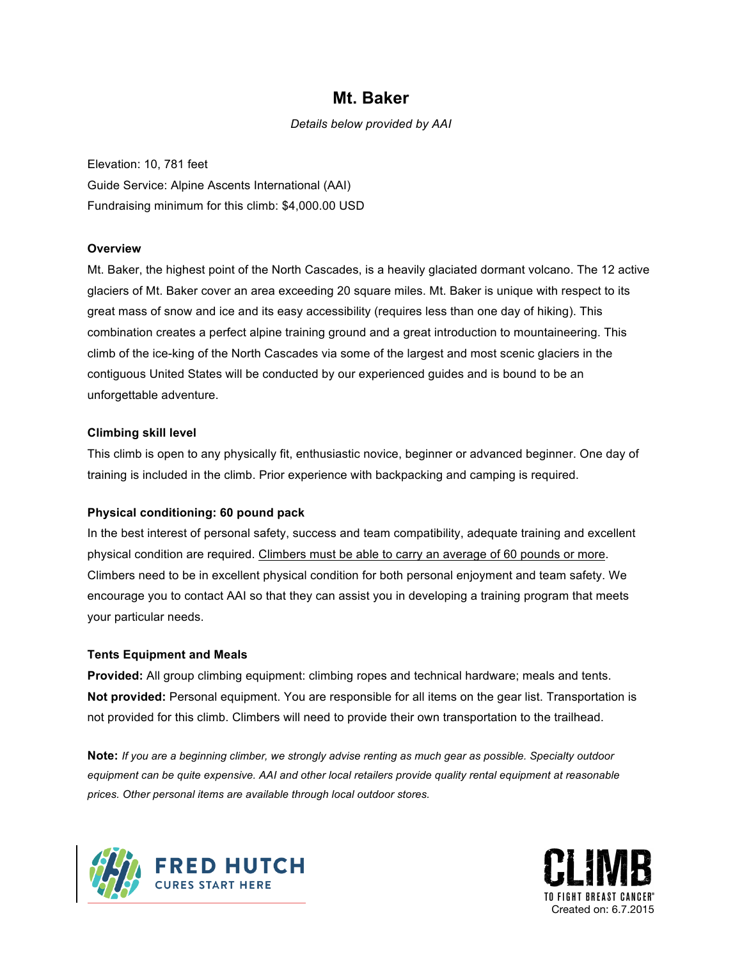## **Mt. Baker**

*Details below provided by AAI*

Elevation: 10, 781 feet Guide Service: Alpine Ascents International (AAI) Fundraising minimum for this climb: \$4,000.00 USD

#### **Overview**

Mt. Baker, the highest point of the North Cascades, is a heavily glaciated dormant volcano. The 12 active glaciers of Mt. Baker cover an area exceeding 20 square miles. Mt. Baker is unique with respect to its great mass of snow and ice and its easy accessibility (requires less than one day of hiking). This combination creates a perfect alpine training ground and a great introduction to mountaineering. This climb of the ice-king of the North Cascades via some of the largest and most scenic glaciers in the contiguous United States will be conducted by our experienced guides and is bound to be an unforgettable adventure.

#### **Climbing skill level**

This climb is open to any physically fit, enthusiastic novice, beginner or advanced beginner. One day of training is included in the climb. Prior experience with backpacking and camping is required.

### **Physical conditioning: 60 pound pack**

In the best interest of personal safety, success and team compatibility, adequate training and excellent physical condition are required. Climbers must be able to carry an average of 60 pounds or more. Climbers need to be in excellent physical condition for both personal enjoyment and team safety. We encourage you to contact AAI so that they can assist you in developing a training program that meets your particular needs.

#### **Tents Equipment and Meals**

**Provided:** All group climbing equipment: climbing ropes and technical hardware; meals and tents. **Not provided:** Personal equipment. You are responsible for all items on the gear list. Transportation is not provided for this climb. Climbers will need to provide their own transportation to the trailhead.

**Note:** *If you are a beginning climber, we strongly advise renting as much gear as possible. Specialty outdoor equipment can be quite expensive. AAI and other local retailers provide quality rental equipment at reasonable prices. Other personal items are available through local outdoor stores.*